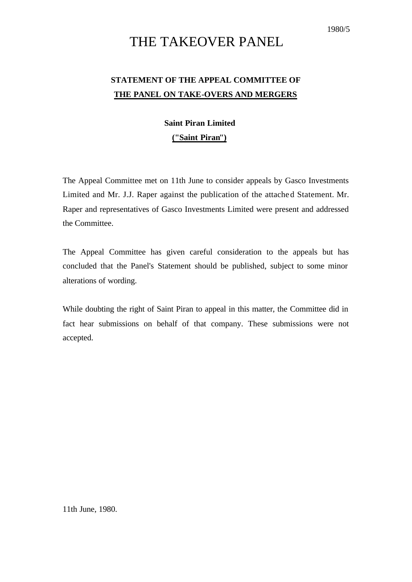#### 1980/5

# THE TAKEOVER PANEL

## **STATEMENT OF THE APPEAL COMMITTEE OF THE PANEL ON TAKE-OVERS AND MERGERS**

### **Saint Piran Limited**

### **("Saint Piran")**

The Appeal Committee met on 11th June to consider appeals by Gasco Investments Limited and Mr. J.J. Raper against the publication of the attache d Statement. Mr. Raper and representatives of Gasco Investments Limited were present and addressed the Committee.

The Appeal Committee has given careful consideration to the appeals but has concluded that the Panel's Statement should be published, subject to some minor alterations of wording.

While doubting the right of Saint Piran to appeal in this matter, the Committee did in fact hear submissions on behalf of that company. These submissions were not accepted.

11th June, 1980.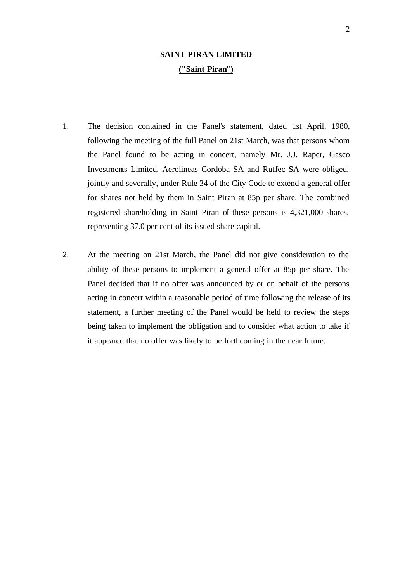### **SAINT PIRAN LIMITED ("Saint Piran")**

- 1. The decision contained in the Panel's statement, dated 1st April, 1980, following the meeting of the full Panel on 21st March, was that persons whom the Panel found to be acting in concert, namely Mr. J.J. Raper, Gasco Investments Limited, Aerolineas Cordoba SA and Ruffec SA were obliged, jointly and severally, under Rule 34 of the City Code to extend a general offer for shares not held by them in Saint Piran at 85p per share. The combined registered shareholding in Saint Piran of these persons is 4,321,000 shares, representing 37.0 per cent of its issued share capital.
- 2. At the meeting on 21st March, the Panel did not give consideration to the ability of these persons to implement a general offer at 85p per share. The Panel decided that if no offer was announced by or on behalf of the persons acting in concert within a reasonable period of time following the release of its statement, a further meeting of the Panel would be held to review the steps being taken to implement the obligation and to consider what action to take if it appeared that no offer was likely to be forthcoming in the near future.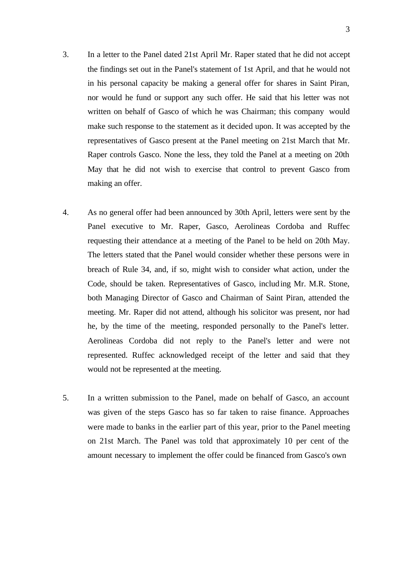- 3. In a letter to the Panel dated 21st April Mr. Raper stated that he did not accept the findings set out in the Panel's statement of 1st April, and that he would not in his personal capacity be making a general offer for shares in Saint Piran, nor would he fund or support any such offer. He said that his letter was not written on behalf of Gasco of which he was Chairman; this company would make such response to the statement as it decided upon. It was accepted by the representatives of Gasco present at the Panel meeting on 21st March that Mr. Raper controls Gasco. None the less, they told the Panel at a meeting on 20th May that he did not wish to exercise that control to prevent Gasco from making an offer.
- 4. As no general offer had been announced by 30th April, letters were sent by the Panel executive to Mr. Raper, Gasco, Aerolineas Cordoba and Ruffec requesting their attendance at a meeting of the Panel to be held on 20th May. The letters stated that the Panel would consider whether these persons were in breach of Rule 34, and, if so, might wish to consider what action, under the Code, should be taken. Representatives of Gasco, including Mr. M.R. Stone, both Managing Director of Gasco and Chairman of Saint Piran, attended the meeting. Mr. Raper did not attend, although his solicitor was present, nor had he, by the time of the meeting, responded personally to the Panel's letter. Aerolineas Cordoba did not reply to the Panel's letter and were not represented. Ruffec acknowledged receipt of the letter and said that they would not be represented at the meeting.
- 5. In a written submission to the Panel, made on behalf of Gasco, an account was given of the steps Gasco has so far taken to raise finance. Approaches were made to banks in the earlier part of this year, prior to the Panel meeting on 21st March. The Panel was told that approximately 10 per cent of the amount necessary to implement the offer could be financed from Gasco's own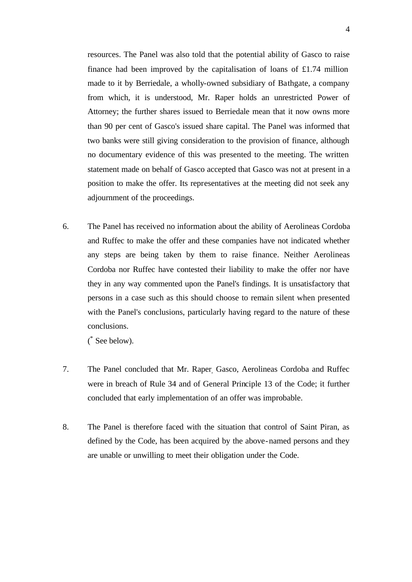resources. The Panel was also told that the potential ability of Gasco to raise finance had been improved by the capitalisation of loans of  $£1.74$  million made to it by Berriedale, a wholly-owned subsidiary of Bathgate, a company from which, it is understood, Mr. Raper holds an unrestricted Power of Attorney; the further shares issued to Berriedale mean that it now owns more than 90 per cent of Gasco's issued share capital. The Panel was informed that two banks were still giving consideration to the provision of finance, although no documentary evidence of this was presented to the meeting. The written statement made on behalf of Gasco accepted that Gasco was not at present in a position to make the offer. Its representatives at the meeting did not seek any adjournment of the proceedings.

6. The Panel has received no information about the ability of Aerolineas Cordoba and Ruffec to make the offer and these companies have not indicated whether any steps are being taken by them to raise finance. Neither Aerolineas Cordoba nor Ruffec have contested their liability to make the offer nor have they in any way commented upon the Panel's findings. It is unsatisfactory that persons in a case such as this should choose to remain silent when presented with the Panel's conclusions, particularly having regard to the nature of these conclusions.

( \* See below).

- 7. The Panel concluded that Mr. Raper, Gasco, Aerolineas Cordoba and Ruffec were in breach of Rule 34 and of General Principle 13 of the Code; it further concluded that early implementation of an offer was improbable.
- 8. The Panel is therefore faced with the situation that control of Saint Piran, as defined by the Code, has been acquired by the above-named persons and they are unable or unwilling to meet their obligation under the Code.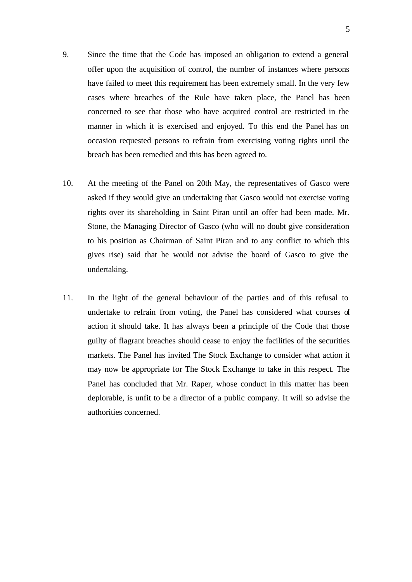- 9. Since the time that the Code has imposed an obligation to extend a general offer upon the acquisition of control, the number of instances where persons have failed to meet this requirement has been extremely small. In the very few cases where breaches of the Rule have taken place, the Panel has been concerned to see that those who have acquired control are restricted in the manner in which it is exercised and enjoyed. To this end the Panel has on occasion requested persons to refrain from exercising voting rights until the breach has been remedied and this has been agreed to.
- 10. At the meeting of the Panel on 20th May, the representatives of Gasco were asked if they would give an undertaking that Gasco would not exercise voting rights over its shareholding in Saint Piran until an offer had been made. Mr. Stone, the Managing Director of Gasco (who will no doubt give consideration to his position as Chairman of Saint Piran and to any conflict to which this gives rise) said that he would not advise the board of Gasco to give the undertaking.
- 11. In the light of the general behaviour of the parties and of this refusal to undertake to refrain from voting, the Panel has considered what courses of action it should take. It has always been a principle of the Code that those guilty of flagrant breaches should cease to enjoy the facilities of the securities markets. The Panel has invited The Stock Exchange to consider what action it may now be appropriate for The Stock Exchange to take in this respect. The Panel has concluded that Mr. Raper, whose conduct in this matter has been deplorable, is unfit to be a director of a public company. It will so advise the authorities concerned.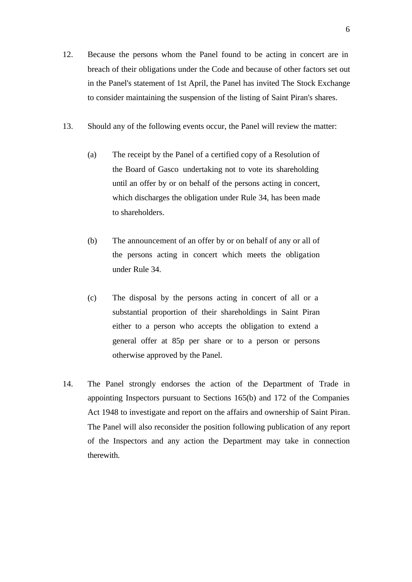- 12. Because the persons whom the Panel found to be acting in concert are in breach of their obligations under the Code and because of other factors set out in the Panel's statement of 1st April, the Panel has invited The Stock Exchange to consider maintaining the suspension of the listing of Saint Piran's shares.
- 13. Should any of the following events occur, the Panel will review the matter:
	- (a) The receipt by the Panel of a certified copy of a Resolution of the Board of Gasco undertaking not to vote its shareholding until an offer by or on behalf of the persons acting in concert, which discharges the obligation under Rule 34, has been made to shareholders.
	- (b) The announcement of an offer by or on behalf of any or all of the persons acting in concert which meets the obligation under Rule 34.
	- (c) The disposal by the persons acting in concert of all or a substantial proportion of their shareholdings in Saint Piran either to a person who accepts the obligation to extend a general offer at 85p per share or to a person or persons otherwise approved by the Panel.
- 14. The Panel strongly endorses the action of the Department of Trade in appointing Inspectors pursuant to Sections 165(b) and 172 of the Companies Act 1948 to investigate and report on the affairs and ownership of Saint Piran. The Panel will also reconsider the position following publication of any report of the Inspectors and any action the Department may take in connection therewith.